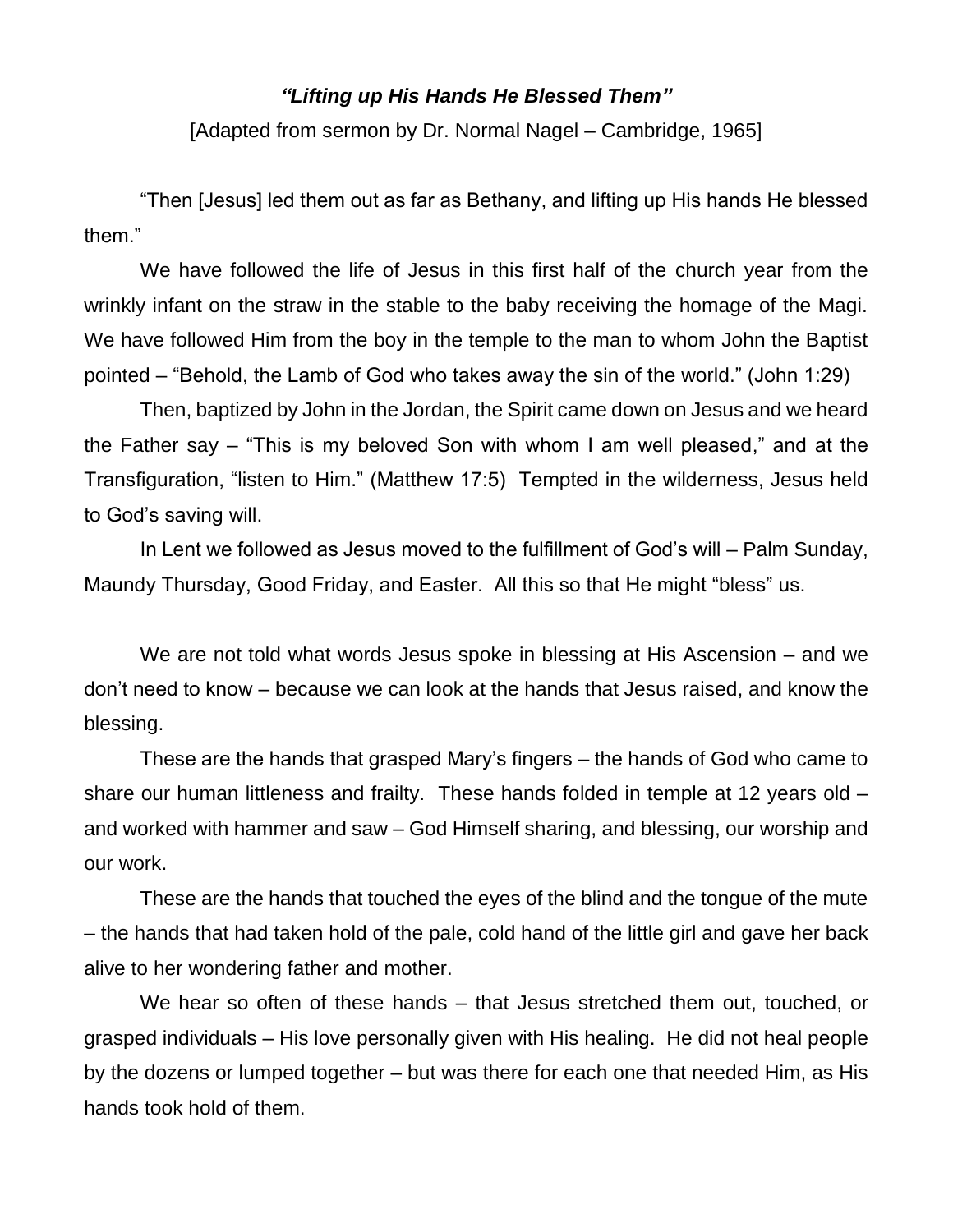## *"Lifting up His Hands He Blessed Them"*

[Adapted from sermon by Dr. Normal Nagel – Cambridge, 1965]

"Then [Jesus] led them out as far as Bethany, and lifting up His hands He blessed them."

We have followed the life of Jesus in this first half of the church year from the wrinkly infant on the straw in the stable to the baby receiving the homage of the Magi. We have followed Him from the boy in the temple to the man to whom John the Baptist pointed – "Behold, the Lamb of God who takes away the sin of the world." (John 1:29)

Then, baptized by John in the Jordan, the Spirit came down on Jesus and we heard the Father say – "This is my beloved Son with whom I am well pleased," and at the Transfiguration, "listen to Him." (Matthew 17:5) Tempted in the wilderness, Jesus held to God's saving will.

In Lent we followed as Jesus moved to the fulfillment of God's will – Palm Sunday, Maundy Thursday, Good Friday, and Easter. All this so that He might "bless" us.

We are not told what words Jesus spoke in blessing at His Ascension – and we don't need to know – because we can look at the hands that Jesus raised, and know the blessing.

These are the hands that grasped Mary's fingers – the hands of God who came to share our human littleness and frailty. These hands folded in temple at 12 years old – and worked with hammer and saw – God Himself sharing, and blessing, our worship and our work.

These are the hands that touched the eyes of the blind and the tongue of the mute – the hands that had taken hold of the pale, cold hand of the little girl and gave her back alive to her wondering father and mother.

We hear so often of these hands – that Jesus stretched them out, touched, or grasped individuals – His love personally given with His healing. He did not heal people by the dozens or lumped together – but was there for each one that needed Him, as His hands took hold of them.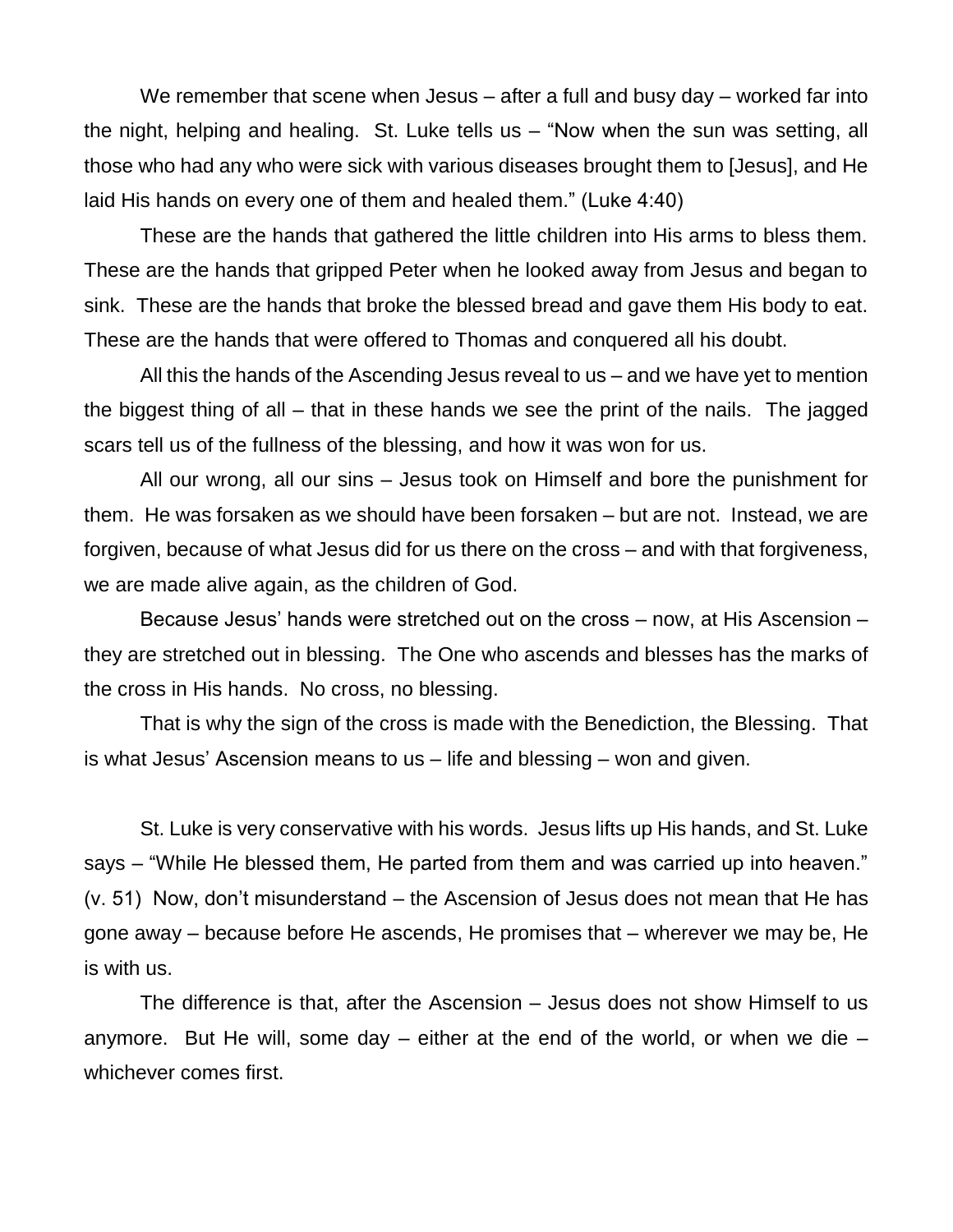We remember that scene when Jesus – after a full and busy day – worked far into the night, helping and healing. St. Luke tells us – "Now when the sun was setting, all those who had any who were sick with various diseases brought them to [Jesus], and He laid His hands on every one of them and healed them." (Luke 4:40)

These are the hands that gathered the little children into His arms to bless them. These are the hands that gripped Peter when he looked away from Jesus and began to sink. These are the hands that broke the blessed bread and gave them His body to eat. These are the hands that were offered to Thomas and conquered all his doubt.

All this the hands of the Ascending Jesus reveal to us – and we have yet to mention the biggest thing of all – that in these hands we see the print of the nails. The jagged scars tell us of the fullness of the blessing, and how it was won for us.

All our wrong, all our sins – Jesus took on Himself and bore the punishment for them. He was forsaken as we should have been forsaken – but are not. Instead, we are forgiven, because of what Jesus did for us there on the cross – and with that forgiveness, we are made alive again, as the children of God.

Because Jesus' hands were stretched out on the cross – now, at His Ascension – they are stretched out in blessing. The One who ascends and blesses has the marks of the cross in His hands. No cross, no blessing.

That is why the sign of the cross is made with the Benediction, the Blessing. That is what Jesus' Ascension means to us – life and blessing – won and given.

St. Luke is very conservative with his words. Jesus lifts up His hands, and St. Luke says – "While He blessed them, He parted from them and was carried up into heaven." (v. 51) Now, don't misunderstand – the Ascension of Jesus does not mean that He has gone away – because before He ascends, He promises that – wherever we may be, He is with us.

The difference is that, after the Ascension – Jesus does not show Himself to us anymore. But He will, some day – either at the end of the world, or when we die – whichever comes first.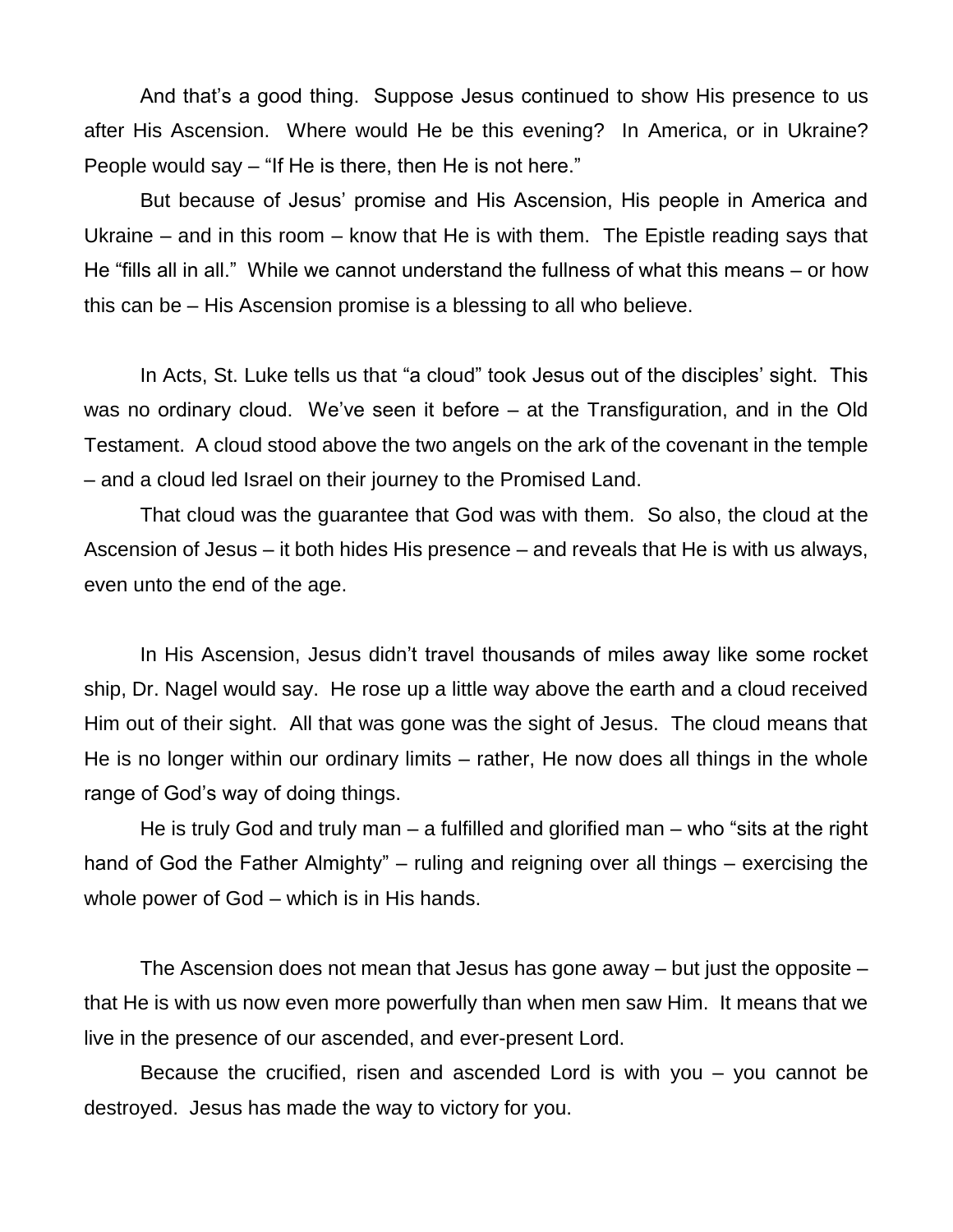And that's a good thing. Suppose Jesus continued to show His presence to us after His Ascension. Where would He be this evening? In America, or in Ukraine? People would say – "If He is there, then He is not here."

But because of Jesus' promise and His Ascension, His people in America and Ukraine – and in this room – know that He is with them. The Epistle reading says that He "fills all in all." While we cannot understand the fullness of what this means – or how this can be – His Ascension promise is a blessing to all who believe.

In Acts, St. Luke tells us that "a cloud" took Jesus out of the disciples' sight. This was no ordinary cloud. We've seen it before – at the Transfiguration, and in the Old Testament. A cloud stood above the two angels on the ark of the covenant in the temple – and a cloud led Israel on their journey to the Promised Land.

That cloud was the guarantee that God was with them. So also, the cloud at the Ascension of Jesus – it both hides His presence – and reveals that He is with us always, even unto the end of the age.

In His Ascension, Jesus didn't travel thousands of miles away like some rocket ship, Dr. Nagel would say. He rose up a little way above the earth and a cloud received Him out of their sight. All that was gone was the sight of Jesus. The cloud means that He is no longer within our ordinary limits – rather, He now does all things in the whole range of God's way of doing things.

He is truly God and truly man – a fulfilled and glorified man – who "sits at the right hand of God the Father Almighty" – ruling and reigning over all things – exercising the whole power of God – which is in His hands.

The Ascension does not mean that Jesus has gone away – but just the opposite – that He is with us now even more powerfully than when men saw Him. It means that we live in the presence of our ascended, and ever-present Lord.

Because the crucified, risen and ascended Lord is with you – you cannot be destroyed. Jesus has made the way to victory for you.